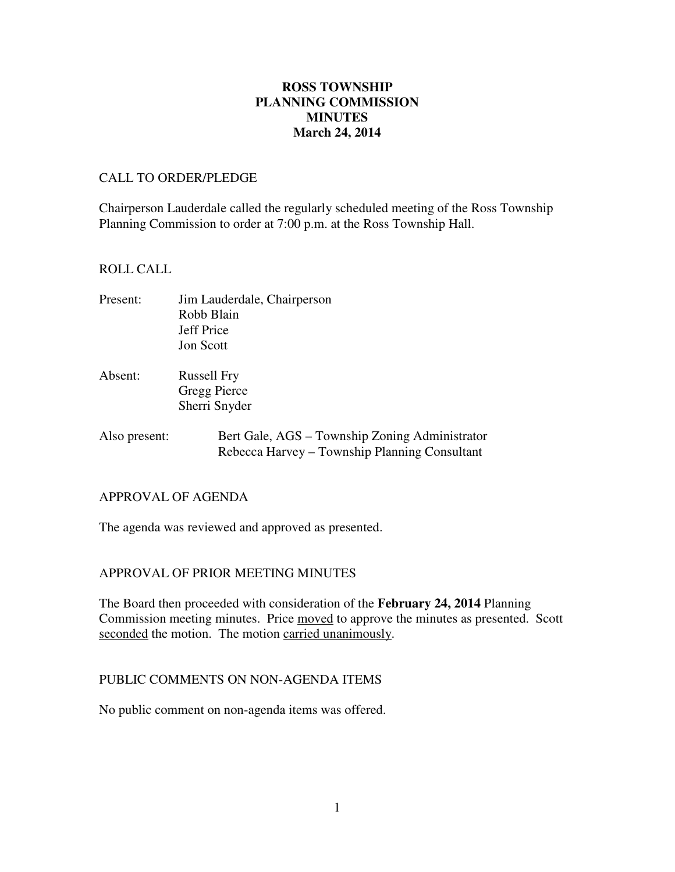# **ROSS TOWNSHIP PLANNING COMMISSION MINUTES March 24, 2014**

### CALL TO ORDER/PLEDGE

Chairperson Lauderdale called the regularly scheduled meeting of the Ross Township Planning Commission to order at 7:00 p.m. at the Ross Township Hall.

### ROLL CALL

- Present: Jim Lauderdale, Chairperson Robb Blain Jeff Price Jon Scott
- Absent: Russell Fry Gregg Pierce Sherri Snyder
- Also present: Bert Gale, AGS Township Zoning Administrator Rebecca Harvey – Township Planning Consultant

## APPROVAL OF AGENDA

The agenda was reviewed and approved as presented.

## APPROVAL OF PRIOR MEETING MINUTES

The Board then proceeded with consideration of the **February 24, 2014** Planning Commission meeting minutes. Price moved to approve the minutes as presented. Scott seconded the motion. The motion carried unanimously.

## PUBLIC COMMENTS ON NON-AGENDA ITEMS

No public comment on non-agenda items was offered.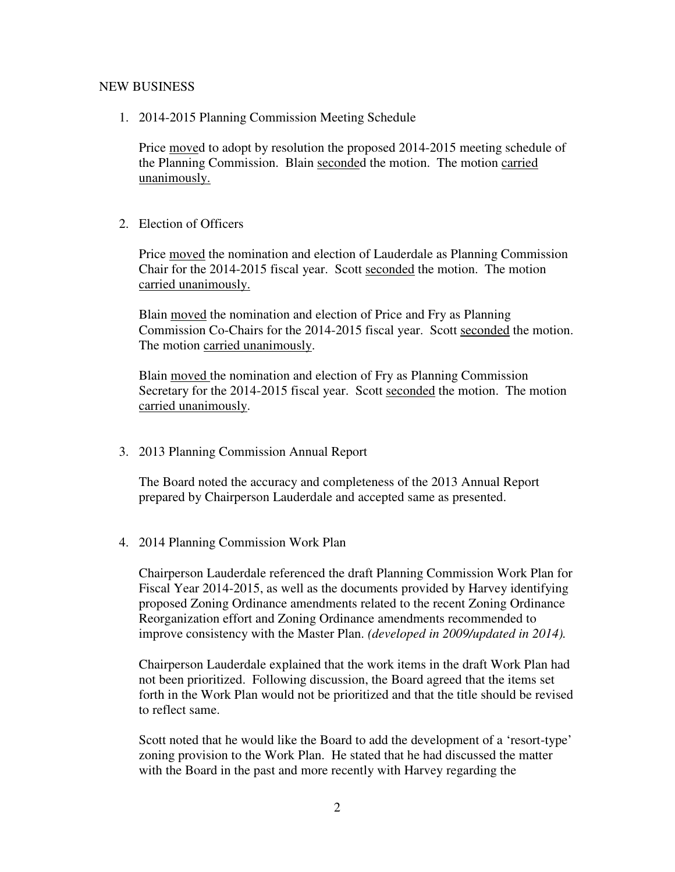#### NEW BUSINESS

1. 2014-2015 Planning Commission Meeting Schedule

Price moved to adopt by resolution the proposed 2014-2015 meeting schedule of the Planning Commission. Blain seconded the motion. The motion carried unanimously.

2. Election of Officers

Price moved the nomination and election of Lauderdale as Planning Commission Chair for the 2014-2015 fiscal year. Scott seconded the motion. The motion carried unanimously.

Blain moved the nomination and election of Price and Fry as Planning Commission Co-Chairs for the 2014-2015 fiscal year. Scott seconded the motion. The motion carried unanimously.

Blain moved the nomination and election of Fry as Planning Commission Secretary for the 2014-2015 fiscal year. Scott seconded the motion. The motion carried unanimously.

3. 2013 Planning Commission Annual Report

The Board noted the accuracy and completeness of the 2013 Annual Report prepared by Chairperson Lauderdale and accepted same as presented.

4. 2014 Planning Commission Work Plan

Chairperson Lauderdale referenced the draft Planning Commission Work Plan for Fiscal Year 2014-2015, as well as the documents provided by Harvey identifying proposed Zoning Ordinance amendments related to the recent Zoning Ordinance Reorganization effort and Zoning Ordinance amendments recommended to improve consistency with the Master Plan. *(developed in 2009/updated in 2014).* 

Chairperson Lauderdale explained that the work items in the draft Work Plan had not been prioritized. Following discussion, the Board agreed that the items set forth in the Work Plan would not be prioritized and that the title should be revised to reflect same.

Scott noted that he would like the Board to add the development of a 'resort-type' zoning provision to the Work Plan. He stated that he had discussed the matter with the Board in the past and more recently with Harvey regarding the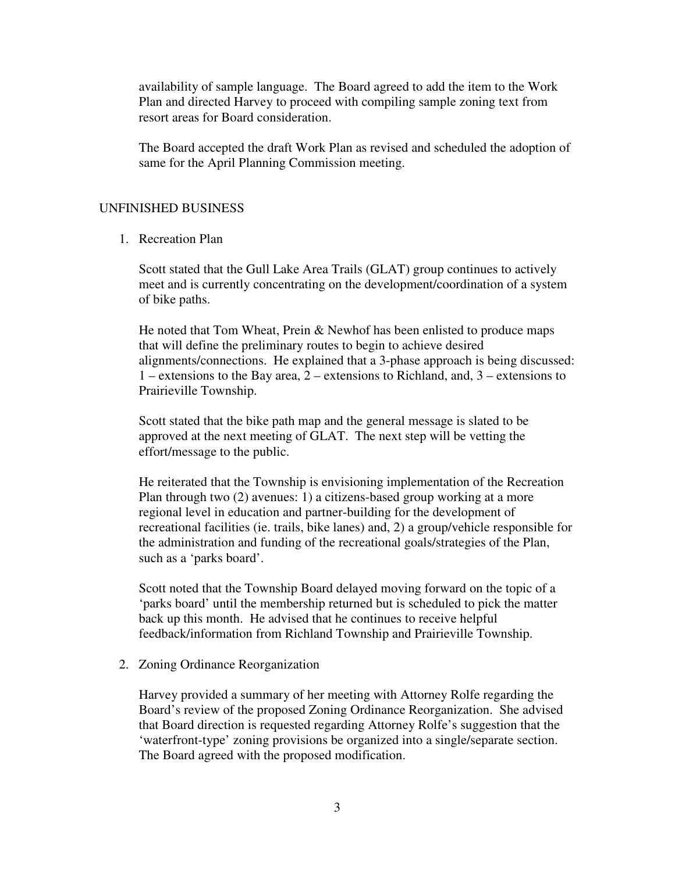availability of sample language. The Board agreed to add the item to the Work Plan and directed Harvey to proceed with compiling sample zoning text from resort areas for Board consideration.

The Board accepted the draft Work Plan as revised and scheduled the adoption of same for the April Planning Commission meeting.

#### UNFINISHED BUSINESS

1. Recreation Plan

Scott stated that the Gull Lake Area Trails (GLAT) group continues to actively meet and is currently concentrating on the development/coordination of a system of bike paths.

He noted that Tom Wheat, Prein & Newhof has been enlisted to produce maps that will define the preliminary routes to begin to achieve desired alignments/connections. He explained that a 3-phase approach is being discussed: 1 – extensions to the Bay area, 2 – extensions to Richland, and, 3 – extensions to Prairieville Township.

Scott stated that the bike path map and the general message is slated to be approved at the next meeting of GLAT. The next step will be vetting the effort/message to the public.

He reiterated that the Township is envisioning implementation of the Recreation Plan through two (2) avenues: 1) a citizens-based group working at a more regional level in education and partner-building for the development of recreational facilities (ie. trails, bike lanes) and, 2) a group/vehicle responsible for the administration and funding of the recreational goals/strategies of the Plan, such as a 'parks board'.

Scott noted that the Township Board delayed moving forward on the topic of a 'parks board' until the membership returned but is scheduled to pick the matter back up this month. He advised that he continues to receive helpful feedback/information from Richland Township and Prairieville Township.

#### 2. Zoning Ordinance Reorganization

Harvey provided a summary of her meeting with Attorney Rolfe regarding the Board's review of the proposed Zoning Ordinance Reorganization. She advised that Board direction is requested regarding Attorney Rolfe's suggestion that the 'waterfront-type' zoning provisions be organized into a single/separate section. The Board agreed with the proposed modification.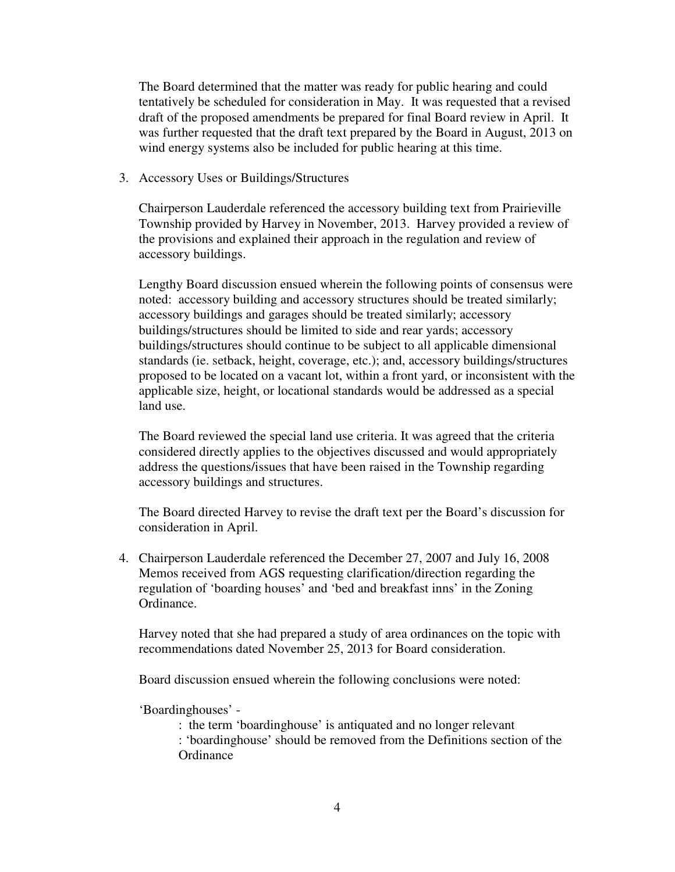The Board determined that the matter was ready for public hearing and could tentatively be scheduled for consideration in May. It was requested that a revised draft of the proposed amendments be prepared for final Board review in April. It was further requested that the draft text prepared by the Board in August, 2013 on wind energy systems also be included for public hearing at this time.

3. Accessory Uses or Buildings/Structures

Chairperson Lauderdale referenced the accessory building text from Prairieville Township provided by Harvey in November, 2013. Harvey provided a review of the provisions and explained their approach in the regulation and review of accessory buildings.

Lengthy Board discussion ensued wherein the following points of consensus were noted: accessory building and accessory structures should be treated similarly; accessory buildings and garages should be treated similarly; accessory buildings/structures should be limited to side and rear yards; accessory buildings/structures should continue to be subject to all applicable dimensional standards (ie. setback, height, coverage, etc.); and, accessory buildings/structures proposed to be located on a vacant lot, within a front yard, or inconsistent with the applicable size, height, or locational standards would be addressed as a special land use.

The Board reviewed the special land use criteria. It was agreed that the criteria considered directly applies to the objectives discussed and would appropriately address the questions/issues that have been raised in the Township regarding accessory buildings and structures.

The Board directed Harvey to revise the draft text per the Board's discussion for consideration in April.

4. Chairperson Lauderdale referenced the December 27, 2007 and July 16, 2008 Memos received from AGS requesting clarification/direction regarding the regulation of 'boarding houses' and 'bed and breakfast inns' in the Zoning Ordinance.

Harvey noted that she had prepared a study of area ordinances on the topic with recommendations dated November 25, 2013 for Board consideration.

Board discussion ensued wherein the following conclusions were noted:

'Boardinghouses' -

: the term 'boardinghouse' is antiquated and no longer relevant

: 'boardinghouse' should be removed from the Definitions section of the **Ordinance**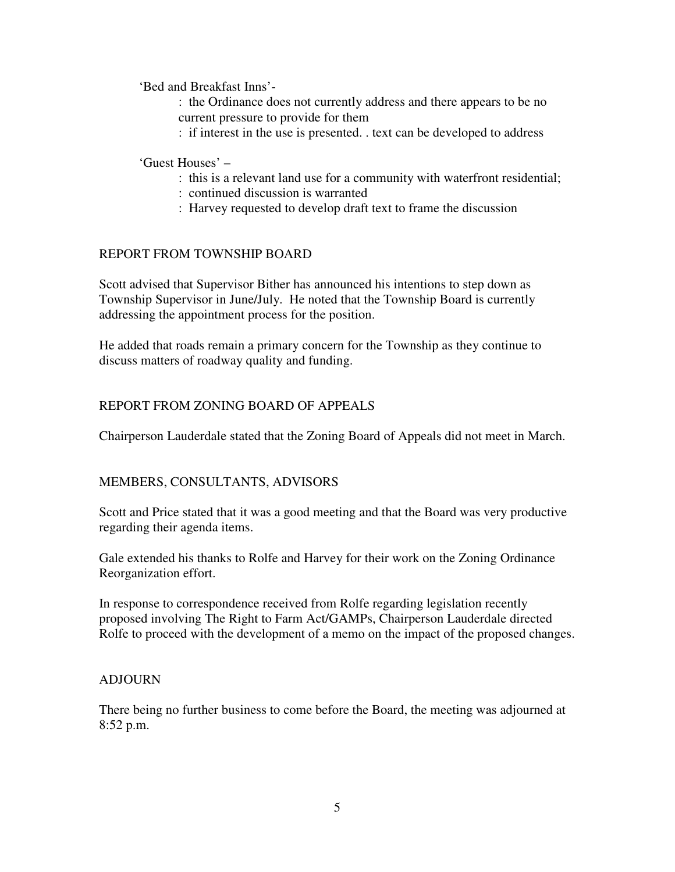'Bed and Breakfast Inns'-

- : the Ordinance does not currently address and there appears to be no current pressure to provide for them
- : if interest in the use is presented. . text can be developed to address

## 'Guest Houses' –

- : this is a relevant land use for a community with waterfront residential;
- : continued discussion is warranted
- : Harvey requested to develop draft text to frame the discussion

# REPORT FROM TOWNSHIP BOARD

Scott advised that Supervisor Bither has announced his intentions to step down as Township Supervisor in June/July. He noted that the Township Board is currently addressing the appointment process for the position.

He added that roads remain a primary concern for the Township as they continue to discuss matters of roadway quality and funding.

# REPORT FROM ZONING BOARD OF APPEALS

Chairperson Lauderdale stated that the Zoning Board of Appeals did not meet in March.

## MEMBERS, CONSULTANTS, ADVISORS

Scott and Price stated that it was a good meeting and that the Board was very productive regarding their agenda items.

Gale extended his thanks to Rolfe and Harvey for their work on the Zoning Ordinance Reorganization effort.

In response to correspondence received from Rolfe regarding legislation recently proposed involving The Right to Farm Act/GAMPs, Chairperson Lauderdale directed Rolfe to proceed with the development of a memo on the impact of the proposed changes.

## ADJOURN

There being no further business to come before the Board, the meeting was adjourned at 8:52 p.m.